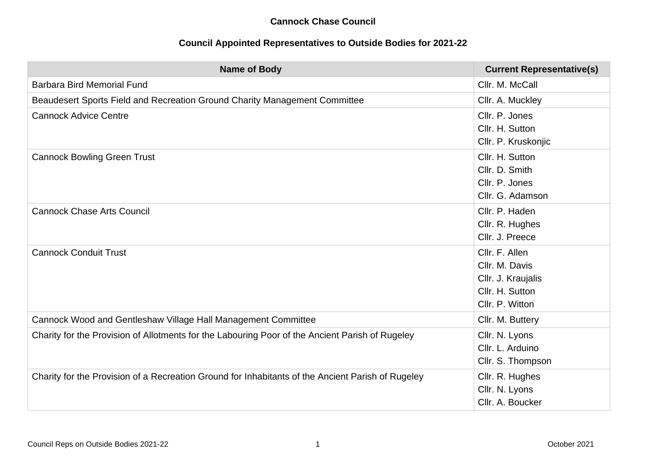## **Cannock Chase Council**

## **Council Appointed Representatives to Outside Bodies for 2021-22**

| <b>Name of Body</b>                                                                               | <b>Current Representative(s)</b>                                                             |
|---------------------------------------------------------------------------------------------------|----------------------------------------------------------------------------------------------|
| <b>Barbara Bird Memorial Fund</b>                                                                 | Cllr. M. McCall                                                                              |
| Beaudesert Sports Field and Recreation Ground Charity Management Committee                        | Cllr. A. Muckley                                                                             |
| <b>Cannock Advice Centre</b>                                                                      | Cllr. P. Jones<br>Cllr. H. Sutton<br>Cllr. P. Kruskonjic                                     |
| <b>Cannock Bowling Green Trust</b>                                                                | Cllr. H. Sutton<br>Cllr. D. Smith<br>Cllr. P. Jones<br>Cllr. G. Adamson                      |
| <b>Cannock Chase Arts Council</b>                                                                 | Cllr. P. Haden<br>Cllr. R. Hughes<br>Cllr. J. Preece                                         |
| <b>Cannock Conduit Trust</b>                                                                      | Cllr. F. Allen<br>Cllr. M. Davis<br>Cllr. J. Kraujalis<br>Cllr. H. Sutton<br>Cllr. P. Witton |
| Cannock Wood and Gentleshaw Village Hall Management Committee                                     | Cllr. M. Buttery                                                                             |
| Charity for the Provision of Allotments for the Labouring Poor of the Ancient Parish of Rugeley   | Cllr. N. Lyons<br>Cllr. L. Arduino<br>Cllr. S. Thompson                                      |
| Charity for the Provision of a Recreation Ground for Inhabitants of the Ancient Parish of Rugeley | Cllr. R. Hughes<br>Cllr. N. Lyons<br>Cllr. A. Boucker                                        |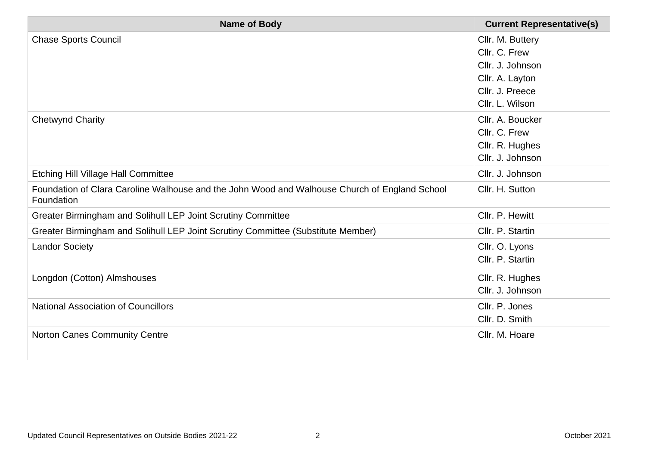| <b>Name of Body</b>                                                                                         | <b>Current Representative(s)</b> |
|-------------------------------------------------------------------------------------------------------------|----------------------------------|
| <b>Chase Sports Council</b>                                                                                 | Cllr. M. Buttery                 |
|                                                                                                             | Cllr. C. Frew                    |
|                                                                                                             | Cllr. J. Johnson                 |
|                                                                                                             | Cllr. A. Layton                  |
|                                                                                                             | Cllr. J. Preece                  |
|                                                                                                             | Cllr. L. Wilson                  |
| <b>Chetwynd Charity</b>                                                                                     | Cllr. A. Boucker                 |
|                                                                                                             | Cllr. C. Frew                    |
|                                                                                                             | Cllr. R. Hughes                  |
|                                                                                                             | Cllr. J. Johnson                 |
| <b>Etching Hill Village Hall Committee</b>                                                                  | Cllr. J. Johnson                 |
| Foundation of Clara Caroline Walhouse and the John Wood and Walhouse Church of England School<br>Foundation | Cllr. H. Sutton                  |
| Greater Birmingham and Solihull LEP Joint Scrutiny Committee                                                | Cllr. P. Hewitt                  |
| Greater Birmingham and Solihull LEP Joint Scrutiny Committee (Substitute Member)                            | Cllr. P. Startin                 |
| <b>Landor Society</b>                                                                                       | Cllr. O. Lyons                   |
|                                                                                                             | Cllr. P. Startin                 |
| Longdon (Cotton) Almshouses                                                                                 | Cllr. R. Hughes                  |
|                                                                                                             | Cllr. J. Johnson                 |
| <b>National Association of Councillors</b>                                                                  | Cllr. P. Jones                   |
|                                                                                                             | Cllr. D. Smith                   |
| Norton Canes Community Centre                                                                               | Cllr. M. Hoare                   |